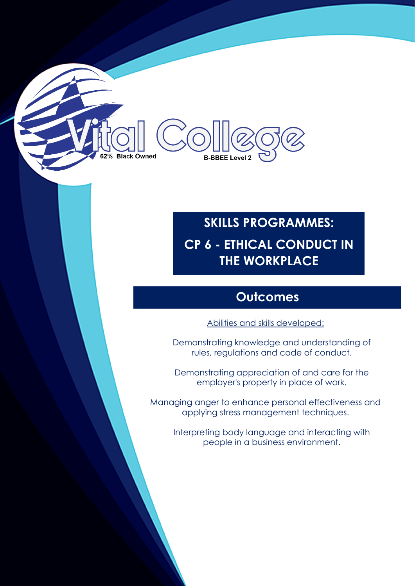# 2% Black Owned **B-BBEE Level 2**

# **SKILLS PROGRAMMES: CP 6 - ETHICAL CONDUCT IN THE WORKPLACE**

#### **Outcomes**

Abilities and skills developed:

Demonstrating knowledge and understanding of rules, regulations and code of conduct.

Demonstrating appreciation of and care for the employer's property in place of work.

Managing anger to enhance personal effectiveness and applying stress management techniques.

Interpreting body language and interacting with people in a business environment.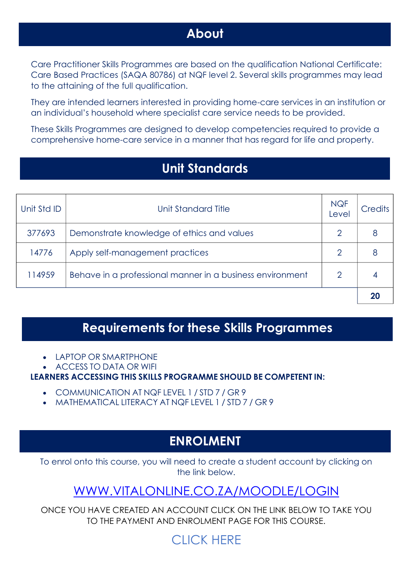#### **About**

Care Practitioner Skills Programmes are based on the qualification National Certificate: Care Based Practices (SAQA 80786) at NQF level 2. Several skills programmes may lead to the attaining of the full qualification.

They are intended learners interested in providing home-care services in an institution or an individual's household where specialist care service needs to be provided.

These Skills Programmes are designed to develop competencies required to provide a comprehensive home-care service in a manner that has regard for life and property.

#### **Unit Standards**

| Unit Std ID | Unit Standard Title                                       | <b>NQF</b><br>Level | Credits |
|-------------|-----------------------------------------------------------|---------------------|---------|
| 377693      | Demonstrate knowledge of ethics and values                | 2                   |         |
| 14776       | Apply self-management practices                           | $\overline{2}$      |         |
| 114959      | Behave in a professional manner in a business environment | ≘                   |         |
|             |                                                           |                     |         |

#### **Requirements for these Skills Programmes**

- LAPTOP OR SMARTPHONE
- ACCESS TO DATA OR WIFI

**LEARNERS ACCESSING THIS SKILLS PROGRAMME SHOULD BE COMPETENT IN:**

- COMMUNICATION AT NQF LEVEL 1 / STD 7 / GR 9
- MATHEMATICAL LITERACY AT NQF LEVEL 1 / STD 7 / GR 9

#### **ENROLMENT**

To enrol onto this course, you will need to create a student account by clicking on the link below.

### [WWW.VITALONLINE.CO.ZA/MOODLE/LOGIN](http://www.vitalonline.co.za/moodle/login)

ONCE YOU HAVE CREATED AN ACCOUNT CLICK ON THE LINK BELOW TO TAKE YOU TO THE PAYMENT AND ENROLMENT PAGE FOR THIS COURSE.

# [CLICK HERE](http://www.vitalonline.co.za/moodle/course/index.php?categoryid=44)